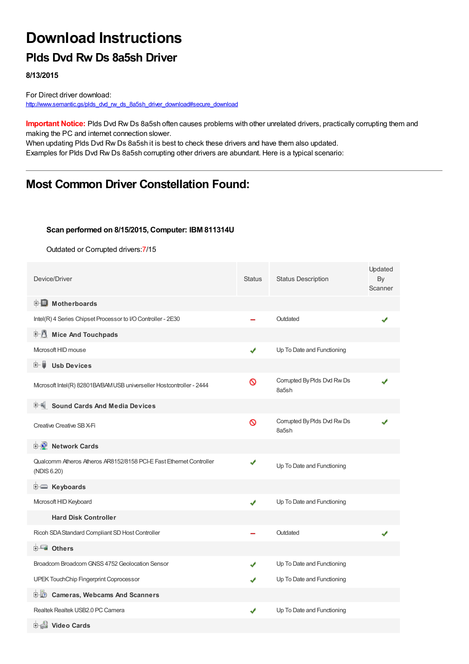# **Download Instructions**

### **Plds Dvd Rw Ds 8a5sh Driver**

**8/13/2015**

For Direct driver download: [http://www.semantic.gs/plds\\_dvd\\_rw\\_ds\\_8a5sh\\_driver\\_download#secure\\_download](http://www.semantic.gs/plds_dvd_rw_ds_8a5sh_driver_download#secure_download)

**Important Notice:** Plds Dvd Rw Ds 8a5sh often causes problems with other unrelated drivers, practically corrupting them and making the PC and internet connection slower.

When updating Plds Dvd Rw Ds 8a5sh it is best to check these drivers and have them also updated. Examples for Plds Dvd Rw Ds 8a5sh corrupting other drivers are abundant. Here is a typical scenario:

### **Most Common Driver Constellation Found:**

#### **Scan performed on 8/15/2015, Computer: IBM 811314U**

Outdated or Corrupted drivers:7/15

| Device/Driver                                                                      | <b>Status</b> | <b>Status Description</b>            | Updated<br>By<br>Scanner |
|------------------------------------------------------------------------------------|---------------|--------------------------------------|--------------------------|
| <b>E</b> Motherboards                                                              |               |                                      |                          |
| Intel(R) 4 Series Chipset Processor to I/O Controller - 2E30                       |               | Outdated                             |                          |
| <b>Mice And Touchpads</b>                                                          |               |                                      |                          |
| Microsoft HID mouse                                                                | ✔             | Up To Date and Functioning           |                          |
| <b>Usb Devices</b><br>⊞…■                                                          |               |                                      |                          |
| Mcrosoft Intel(R) 82801BA/BAM USB universeller Hostcontroller - 2444               | ଷ             | Corrupted By Plds Dvd Rw Ds<br>8a5sh |                          |
| <b>Sound Cards And Media Devices</b>                                               |               |                                      |                          |
| Creative Creative SB X-Fi                                                          | Ø             | Corrupted By Plds Dvd Rw Ds<br>8a5sh |                          |
| <b>E</b> Network Cards                                                             |               |                                      |                          |
| Qualcomm Atheros Atheros AR8152/8158 PCI-E Fast Ethernet Controller<br>(NDIS 6.20) | ✔             | Up To Date and Functioning           |                          |
| E Keyboards                                                                        |               |                                      |                          |
| Microsoft HID Keyboard                                                             | ✔             | Up To Date and Functioning           |                          |
| <b>Hard Disk Controller</b>                                                        |               |                                      |                          |
| Ricoh SDA Standard Compliant SD Host Controller                                    |               | Outdated                             |                          |
| <b>E</b> Others                                                                    |               |                                      |                          |
| Broadcom Broadcom GNSS 4752 Geolocation Sensor                                     |               | Up To Date and Functioning           |                          |
| UPEK TouchChip Fingerprint Coprocessor                                             |               | Up To Date and Functioning           |                          |
| <b>Cameras, Webcams And Scanners</b><br>田山の                                        |               |                                      |                          |
| Realtek Realtek USB2.0 PC Camera                                                   |               | Up To Date and Functioning           |                          |
| <b>电晶 Video Cards</b>                                                              |               |                                      |                          |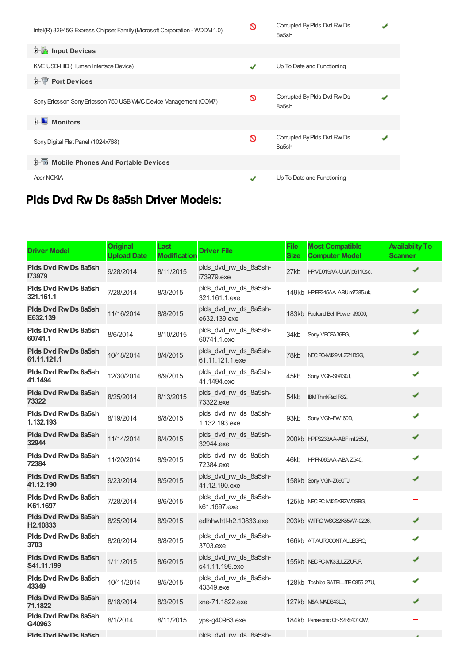| Intel(R) 82945G Express Chipset Family (Mcrosoft Corporation - WDDM1.0) | ଷ | Corrupted By Plds Dvd Rw Ds<br>8a5sh |  |
|-------------------------------------------------------------------------|---|--------------------------------------|--|
| <b>Input Devices</b><br>由 的                                             |   |                                      |  |
| KME USB-HID (Human Interface Device)                                    | ✔ | Up To Date and Functioning           |  |
| <b>E-1</b> Port Devices                                                 |   |                                      |  |
| Sony Ericsson Sony Ericsson 750 USB VMC Device Management (COM7)        | ଷ | Corrupted By Plds Dvd Rw Ds<br>8a5sh |  |
| <b>Monitors</b><br>田                                                    |   |                                      |  |
| Sony Digital Flat Panel (1024x768)                                      | ଷ | Corrupted By Plds Dvd Rw Ds<br>8a5sh |  |
| <b>E-6</b> Mobile Phones And Portable Devices                           |   |                                      |  |
| <b>Acer NOKIA</b>                                                       |   | Up To Date and Functioning           |  |

## **Plds Dvd Rw Ds 8a5sh Driver Models:**

| <b>Driver Model</b>                                 | <b>Original</b><br><b>Upload Date</b> | Last<br><b>Modificatior</b> | <b>Driver File</b>                       | File<br><b>Size</b> | <b>Most Compatible</b><br><b>Computer Model</b> | <b>Availabilty To</b><br><b>Scanner</b> |
|-----------------------------------------------------|---------------------------------------|-----------------------------|------------------------------------------|---------------------|-------------------------------------------------|-----------------------------------------|
| Plds Dvd Rw Ds 8a5sh<br>173979                      | 9/28/2014                             | 8/11/2015                   | plds_dvd_rw_ds_8a5sh-<br>i73979.exe      | 27kb                | HPVD019AA-UUW p6110sc,                          |                                         |
| Plds Dvd Rw Ds 8a5sh<br>321.161.1                   | 7/28/2014                             | 8/3/2015                    | plds_dvd_rw_ds_8a5sh-<br>321.161.1.exe   |                     | 149kb HP EP245AA-ABU m7385.uk,                  | J                                       |
| Plds Dvd Rw Ds 8a5sh<br>E632.139                    | 11/16/2014                            | 8/8/2015                    | plds_dvd_rw_ds_8a5sh-<br>e632.139.exe    |                     | 183kb Packard Bell IPower J9000,                | ✔                                       |
| Plds Dvd Rw Ds 8a5sh<br>60741.1                     | 8/6/2014                              | 8/10/2015                   | plds_dvd_rw_ds_8a5sh-<br>60741.1.exe     | 34kb                | Sony VPCEA36FG,                                 |                                         |
| Plds Dvd Rw Ds 8a5sh<br>61.11.121.1                 | 10/18/2014                            | 8/4/2015                    | plds dvd rw ds 8a5sh-<br>61.11.121.1.exe | 78kb                | NEC PC-MJ29MLZZ1BSG,                            |                                         |
| Plds Dyd Rw Ds 8a5sh<br>41.1494                     | 12/30/2014                            | 8/9/2015                    | plds dvd rw ds 8a5sh-<br>41.1494.exe     | 45kb                | Sony VGN-SR430J,                                |                                         |
| <b>Plds Dvd Rw Ds 8a5sh</b><br>73322                | 8/25/2014                             | 8/13/2015                   | plds_dvd_rw_ds_8a5sh-<br>73322.exe       | 54kb                | <b>IBM ThinkPad R32,</b>                        | ✔                                       |
| <b>Plds Dvd Rw Ds 8a5sh</b><br>1.132.193            | 8/19/2014                             | 8/8/2015                    | plds_dvd_rw_ds_8a5sh-<br>1.132.193.exe   | 93kb                | Sony VGN-FW160D,                                | ✔                                       |
| <b>Plds Dyd Rw Ds 8a5sh</b><br>32944                | 11/14/2014                            | 8/4/2015                    | plds dvd rw ds 8a5sh-<br>32944.exe       |                     | 200kb HPPS233AA-ABF m1255.f,                    | ✔                                       |
| <b>Plds Dvd Rw Ds 8a5sh</b><br>72384                | 11/20/2014                            | 8/9/2015                    | plds dvd rw ds 8a5sh-<br>72384.exe       | 46kb                | HPPN065AA-ABA Z540,                             | ✔                                       |
| <b>Plds Dyd Rw Ds 8a5sh</b><br>41.12.190            | 9/23/2014                             | 8/5/2015                    | plds dvd rw ds 8a5sh-<br>41.12.190.exe   |                     | 158kb Sony VGN-Z690TJ,                          | ✔                                       |
| <b>Plds Dvd Rw Ds 8a5sh</b><br>K61.1697             | 7/28/2014                             | 8/6/2015                    | plds dvd rw ds 8a5sh-<br>k61.1697.exe    |                     | 125kb NEC PC-MJ25XRZWDSBG.                      |                                         |
| <b>Plds Dvd Rw Ds 8a5sh</b><br>H <sub>2.10833</sub> | 8/25/2014                             | 8/9/2015                    | edlhhwhtl-h2.10833.exe                   |                     | 203kb WIFRO WSG52K55W7-0226,                    | ✔                                       |
| Plds Dvd Rw Ds 8a5sh<br>3703                        | 8/26/2014                             | 8/8/2015                    | plds_dvd_rw_ds_8a5sh-<br>3703.exe        |                     | 166kb AT AUTOCONT ALLEGRO,                      |                                         |
| <b>Plds Dvd Rw Ds 8a5sh</b><br>S41.11.199           | 1/11/2015                             | 8/6/2015                    | plds_dvd_rw_ds_8a5sh-<br>s41.11.199.exe  |                     | 155kb NECPC-MK33LLZZUFJF,                       |                                         |
| <b>Plds Dvd Rw Ds 8a5sh</b><br>43349                | 10/11/2014                            | 8/5/2015                    | plds_dvd_rw_ds_8a5sh-<br>43349.exe       |                     | 128kb Toshiba SATELLITE C855-27U,               |                                         |
| <b>Plds Dvd Rw Ds 8a5sh</b><br>71.1822              | 8/18/2014                             | 8/3/2015                    | xne-71.1822.exe                          |                     | 127kb M&A MADB43LD,                             | ✔                                       |
| Plds Dvd Rw Ds 8a5sh<br>G40963                      | 8/1/2014                              | 8/11/2015                   | yps-g40963.exe                           |                     | 184kb Panasonic CF-52RE401QW,                   |                                         |
| Plds Dvd Rw Ds 8a5sh                                |                                       |                             | nlds dvd rw ds 8a5sh-                    |                     |                                                 |                                         |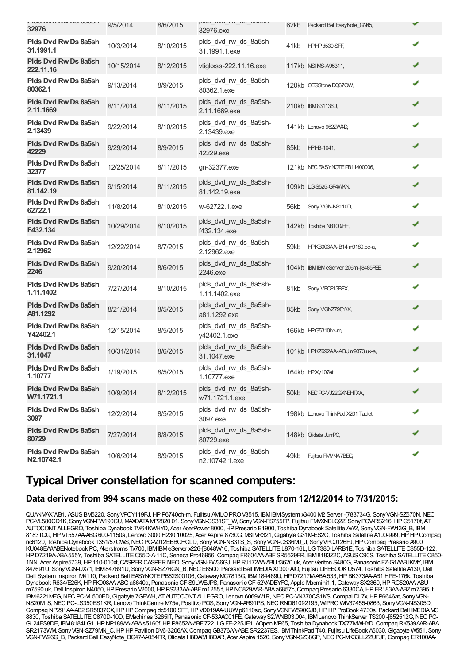| <b>ING PARTIAL PA ANOTI</b><br>32976      | 9/5/2014   | 8/6/2015  | piuu_uvu_ivi_uu_uuuuii<br>32976.exe     | 62kb | Packard Bell EasyNote_GN45,         | ✔ |  |
|-------------------------------------------|------------|-----------|-----------------------------------------|------|-------------------------------------|---|--|
| Plds Dvd Rw Ds 8a5sh<br>31.1991.1         | 10/3/2014  | 8/10/2015 | plds_dvd_rw_ds_8a5sh-<br>31.1991.1.exe  | 41kb | HPHPd530 SFF,                       | ✔ |  |
| <b>Plds Dvd Rw Ds 8a5sh</b><br>222.11.16  | 10/15/2014 | 8/12/2015 | vtigkxss-222.11.16.exe                  |      | 117kb MSI MS-A95311,                | ✔ |  |
| Plds Dvd Rw Ds 8a5sh<br>80362.1           | 9/13/2014  | 8/9/2015  | plds_dvd_rw_ds_8a5sh-<br>80362.1.exe    |      | 120kb OEGStone DQ67OW,              | ✔ |  |
| <b>Plds Dvd Rw Ds 8a5sh</b><br>2.11.1669  | 8/11/2014  | 8/11/2015 | plds_dvd_rw_ds_8a5sh-<br>2.11.1669.exe  |      | 210kb IBM831136U,                   | ✔ |  |
| Plds Dvd Rw Ds 8a5sh<br>2.13439           | 9/22/2014  | 8/10/2015 | plds_dvd_rw_ds_8a5sh-<br>2.13439.exe    |      | 141kb Lenovo 9622W4D,               | ✔ |  |
| <b>Plds Dvd Rw Ds 8a5sh</b><br>42229      | 9/29/2014  | 8/9/2015  | plds_dvd_rw_ds_8a5sh-<br>42229.exe      | 85kb | HPH8-1041,                          | ✔ |  |
| Plds Dvd Rw Ds 8a5sh<br>32377             | 12/25/2014 | 8/11/2015 | gn-32377.exe                            |      | 121kb NECEASYNOTE PB11400006,       | ✔ |  |
| Plds Dvd Rw Ds 8a5sh<br>81.142.19         | 9/15/2014  | 8/11/2015 | plds_dvd_rw_ds_8a5sh-<br>81.142.19.exe  |      | 109kb LG S525-GF4WKN,               | ✔ |  |
| <b>Plds Dvd Rw Ds 8a5sh</b><br>62722.1    | 11/8/2014  | 8/10/2015 | w-62722.1.exe                           | 56kb | Sony VGN-NS110D,                    | ✔ |  |
| Plds Dvd Rw Ds 8a5sh<br>F432.134          | 10/29/2014 | 8/10/2015 | plds_dvd_rw_ds_8a5sh-<br>f432.134.exe   |      | 142kb Toshiba NB100/HF,             | ✔ |  |
| <b>Plds Dvd Rw Ds 8a5sh</b><br>2.12962    | 12/22/2014 | 8/7/2015  | plds_dvd_rw_ds_8a5sh-<br>2.12962.exe    | 59kb | HPKB003AA-B14 m9180.be-a,           | ✔ |  |
| <b>Plds Dvd Rw Ds 8a5sh</b><br>2246       | 9/20/2014  | 8/6/2015  | plds_dvd_rw_ds_8a5sh-<br>2246.exe       |      | 104kb IBM IBMeServer 206m-[8485PEE, | ✔ |  |
| Plds Dvd Rw Ds 8a5sh<br>1.11.1402         | 7/27/2014  | 8/10/2015 | plds_dvd_rw_ds_8a5sh-<br>1.11.1402.exe  | 81kb | Sony VPCF13BFX,                     | ✔ |  |
| Plds Dvd Rw Ds 8a5sh<br>A81.1292          | 8/21/2014  | 8/5/2015  | plds_dvd_rw_ds_8a5sh-<br>a81.1292.exe   | 85kb | Sony VGNZ798Y/X,                    | ✔ |  |
| Plds Dvd Rw Ds 8a5sh<br>Y42402.1          | 12/15/2014 | 8/5/2015  | plds_dvd_rw_ds_8a5sh-<br>y42402.1.exe   |      | 166kb HPG5310be-m                   | ✔ |  |
| <b>Plds Dvd Rw Ds 8a5sh</b><br>31.1047    | 10/31/2014 | 8/6/2015  | plds_dvd_rw_ds_8a5sh-<br>31.1047.exe    |      | 101kb HPKZ692AA-ABUm9373.uk-a,      | ✔ |  |
| Plds Dvd Rw Ds 8a5sh<br>1.10777           | 1/19/2015  | 8/5/2015  | plds dvd rw ds 8a5sh-<br>1.10777.exe    |      | 164kb HPXy107et,                    | ✔ |  |
| <b>Plds Dvd Rw Ds 8a5sh</b><br>W71.1721.1 | 10/9/2014  | 8/12/2015 | plds dvd rw ds 8a5sh-<br>w71.1721.1.exe | 50kb | NEC PC-VJ22GXNEHTXA,                | ✔ |  |
| Plds Dvd Rw Ds 8a5sh<br>3097              | 12/2/2014  | 8/5/2015  | plds_dvd_rw_ds_8a5sh-<br>3097.exe       |      | 198kb Lenovo ThinkPad X201 Tablet,  | ✔ |  |
| Plds Dvd Rw Ds 8a5sh<br>80729             | 7/27/2014  | 8/8/2015  | plds_dvd_rw_ds_8a5sh-<br>80729.exe      |      | 148kb Olidata JumPC,                | ✔ |  |
| Plds Dvd Rw Ds 8a5sh<br>N2.10742.1        | 10/6/2014  | 8/9/2015  | plds_dvd_rw_ds_8a5sh-<br>n2.10742.1.exe | 49kb | Fujitsu FM/NA7BEC,                  | ✔ |  |

### **Typical Driver constellation for scanned computers:**

#### **Data derived from 994 scans made on these 402 computers from 12/12/2014 to 7/31/2015:**

QUANMAXWB1, ASUS BM5220, Sony VPCY119FJ, HP P6740ch-m, Fujitsu AMILO PROV3515, IBMIBMSystem x3400 M2 Server -[783734G, Sony VGN-SZ670N, NEC PC-VL580CD1K, SonyVGN-FW190CU, MAXDATAMP2820 01, SonyVGN-CS31ST\_W, SonyVGN-FS755FP, Fujitsu FMVXNBLQ2Z, SonyPCV-RS216,HPG5170f, AT AUTOCONTALLEGRO, Toshiba Dynabook TV/64KWHYD, Acer AcerPower 8000,HPPresario B1900, Toshiba Dynabook Satellite AW2, SonyVGN-FW43G\_B, IBM 8183TQG, HP VT557AA-ABG 600-1150a, Lenovo 3000 H230 10025, Acer Aspire 8730G, MSI VR321, Gigabyte G31M-ES2C, Toshiba Satellite A100-999, HP HP Compaq nc6120, Toshiba Dynabook T351/57CWS, NEC PC-VJ12EBBCHCLD, Sony VGN-NS31S\_S, Sony VGN-CS36MJ\_J, Sony VPCJ126FJ, HP Compaq Presario A900 KU048EA#ABENotebook PC, Akerstroms Tx700, IBMIBMeServer x226-[8648W16, Toshiba SATELLITE L870-16L, LG T380-LARB1E, Toshiba SATELLITE C855D-122 HP D7219A-ABA555Y, Toshiba SATELLITE C55D-A-11C, Seneca Pro46956, Compaq FR604AA-ABF SR5529FR, IBM8183Z2C, ASUS C90S, Toshiba SATELLITE C850-1NN, Acer Aspire5739, HP110-010xt, CASPER CASPER NEO, Sony VGN-FW36GJ, HP RJ172AA-ABU 13620.uk, Acer Veriton S480G, Panasonic FZ-G1AABJKMY, IBM 847691U, SonyVGN-UX71, IBM847691U, SonyVGN-SZ76GN\_B,NECE6500, Packard Bell IMEDIAX1300 AIO, Fujitsu LIFEBOOKU574, Toshiba Satellite A130,Dell Dell System Inspiron M4110, Packard Bell EASYNOTE PB62S00106, Gateway MC7813G, IBM 184469U, HP D7217M-ABA 533, HP BK373AA-AB1 HPE-176k, Toshiba Dynabook R634/E25K, HP FK908AA-ABG a6640a, Panasonic CF-S9LWEJPS, Panasonic CF-52VADBYFG, Apple Macmini1,1, Gateway SX2360, HP RC520AA-ABU m7590.uk, Dell Inspiron N4050, HP Presario V2000, HP PS233AA-ABF m1255.f, HP NC829AAR-ABA a6857c, Compaq Presario 6330CA, HP ER183AA-ABZ m7395.it, IBM6221MFG, NEC PC-VL500ED, Gigabyte 7GEWH, AT AUTOCONT ALLEGRO, Lenovo 6069W1R, NEC PC-VN370CS1KS, Compal DL7x, HP P6646at, Sony VGN-NS20M\_S,NECPC-LS350ES1KR, Lenovo ThinkCentre M75e, Positivo POS, SonyVGN-AR91PS,NECRND61092195, WIPROWIV37455-0863, SonyVGN-NS305D, Compaq NP291AA-AB2 SR5837CX, HPHP Compaq dc5100 SFF, HP VD019AA-UUW p6110sc, Sony VGNFW590GJB, HPHP ProBook 4730s, Packard Bell IMEDIAMC 8830, Toshiba SATELLITE C870D-10D, EMachines 3265IT, Panasonic CF-53AAC01FE, Gateway S2. WNB03.004, IBM Lenovo ThinkServer TS200 -[652512G, NEC PC-GL24ES8DE, IBM8184LG1,HPNP189AA-ABAs5160f,HPP8652A-ABF722, LGFE-225JE1, AOpen MP65, Toshiba Dynabook TX/77MWHYD,Compaq RK539AAR-ABA SR2173WM, Sony VGN-SZ79MN\_C, HP HP Pavilion DV6-3206AX, Compaq GB376AA-ABE SR2237ES, IBM ThinkPad T40, Fujitsu LifeBook A6030, Gigabyte W551, Sony VGN-FW26G\_B, Packard Bell EasyNote\_BG47-V-054FR, Olidata H8DA8/H8DAR, Acer Aspire 1520, Sony VGN-SZ38GP, NEC PC-MK33LLZZUFJF, Compaq ER100AA-